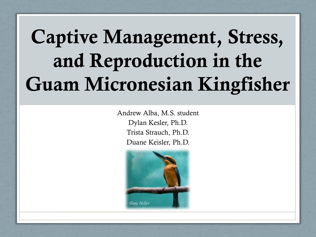## **Captive Management, Stress, and Reproduction in the Guam Micronesian Kingfisher**

Andrew Alba, M.S. student Dylan Kesler, Ph.D. Trista Strauch, Ph.D. Duane Keisler, Ph.D.

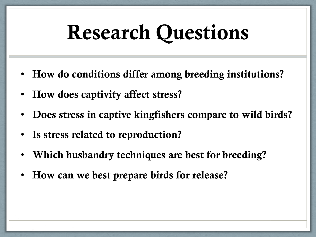#### **Research Questions**

- **How do conditions differ among breeding institutions?**
- **How does captivity affect stress?**
- **Does stress in captive kingfishers compare to wild birds?**
- **Is stress related to reproduction?**
- **Which husbandry techniques are best for breeding?**
- **How can we best prepare birds for release?**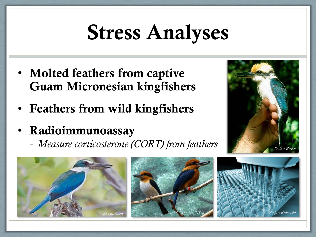## **Stress Analyses**

- **Molted feathers from captive Guam Micronesian kingfishers**
- **Feathers from wild kingfishers**
- **Radioimmunoassay**

- *Measure corticosterone (CORT) from feathers*







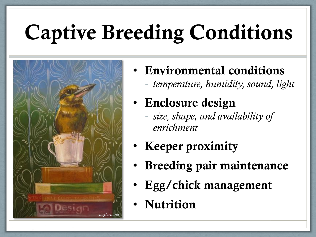# **Captive Breeding Conditions**



- **Environmental conditions** - *temperature, humidity, sound, light*
- **Enclosure design**
	- *size, shape, and availability of enrichment*
- **Keeper proximity**
- **Breeding pair maintenance**
- **Egg/chick management**
- **Nutrition**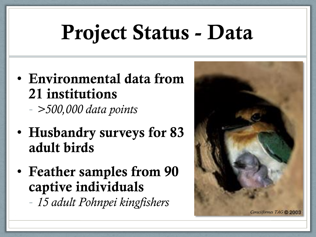## **Project Status - Data**

• **Environmental data from 21 institutions**

- *>500,000 data points*

- **Husbandry surveys for 83 adult birds**
- **Feather samples from 90 captive individuals** - *15 adult Pohnpei kingfishers*

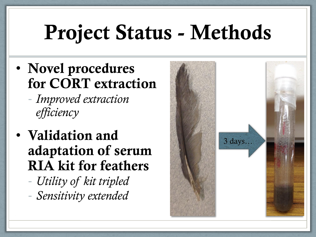#### **Project Status - Methods**

- **Novel procedures for CORT extraction**
	- *Improved extraction efficiency*
- **Validation and adaptation of serum RIA kit for feathers**
	- *Utility of kit tripled* - *Sensitivity extended*

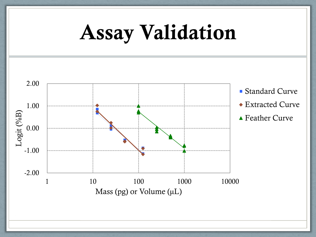

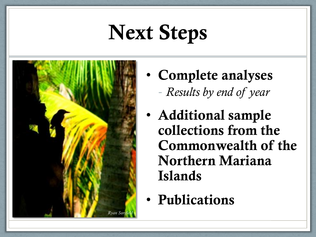## **Next Steps**



- **Complete analyses** - *Results by end of year*
- **Additional sample collections from the Commonwealth of the Northern Mariana Islands**
- **Publications**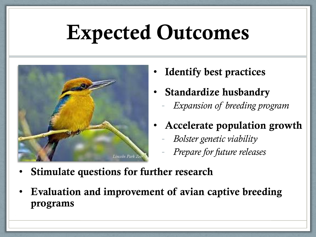#### **Expected Outcomes**

- *Lincoln Park Zoo*
- **Identify best practices**
- **Standardize husbandry**
	- *Expansion of breeding program*
- **Accelerate population growth**
	- *Bolster genetic viability*
	- *Prepare for future releases*
- **Stimulate questions for further research**
- **Evaluation and improvement of avian captive breeding programs**